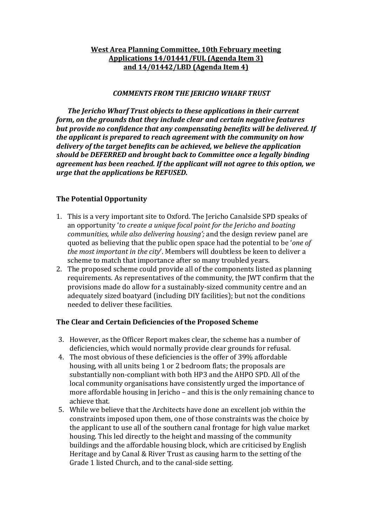# **West Area Planning Committee, 10th February meeting** Applications  $14/01441/FUL$  (Agenda Item 3) **and 14/01442/LBD (Agenda Item 4)**

#### **COMMENTS FROM THE JERICHO WHARF TRUST**

The Jericho Wharf Trust objects to these applications in their current *form, on the grounds that they include clear and certain negative features* but provide no confidence that any compensating benefits will be delivered. If *the applicant is prepared to reach agreement with the community on how* delivery of the target benefits can be achieved, we believe the application *should be DEFERRED and brought back to Committee once a legally binding agreement has been reached. If the applicant will not agree to this option, we urge that the applications be REFUSED.* 

# **The Potential Opportunity**

- 1. This is a very important site to Oxford. The Jericho Canalside SPD speaks of an opportunity '*to create a unique focal point for the Jericho and boating communities, while also delivering housing';* and the design review panel are quoted as believing that the public open space had the potential to be *'one of the most important in the city'*. Members will doubtless be keen to deliver a scheme to match that importance after so many troubled years.
- 2. The proposed scheme could provide all of the components listed as planning requirements. As representatives of the community, the JWT confirm that the provisions made do allow for a sustainably-sized community centre and an adequately sized boatyard (including DIY facilities); but not the conditions needed to deliver these facilities.

# The Clear and Certain Deficiencies of the Proposed Scheme

- 3. However, as the Officer Report makes clear, the scheme has a number of deficiencies, which would normally provide clear grounds for refusal.
- 4. The most obvious of these deficiencies is the offer of 39% affordable housing, with all units being 1 or 2 bedroom flats; the proposals are substantially non-compliant with both HP3 and the AHPO SPD. All of the local community organisations have consistently urged the importance of more affordable housing in Jericho – and this is the only remaining chance to achieve that.
- 5. While we believe that the Architects have done an excellent job within the constraints imposed upon them, one of those constraints was the choice by the applicant to use all of the southern canal frontage for high value market housing. This led directly to the height and massing of the community buildings and the affordable housing block, which are criticised by English Heritage and by Canal & River Trust as causing harm to the setting of the Grade 1 listed Church, and to the canal-side setting.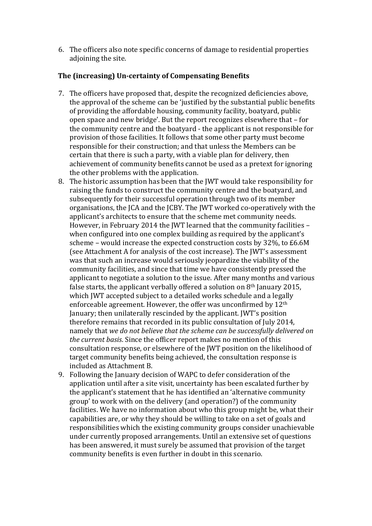6. The officers also note specific concerns of damage to residential properties adjoining the site.

# **The (increasing) Un-certainty of Compensating Benefits**

- 7. The officers have proposed that, despite the recognized deficiencies above, the approval of the scheme can be 'justified by the substantial public benefits of providing the affordable housing, community facility, boatyard, public open space and new bridge'. But the report recognizes elsewhere that – for the community centre and the boatyard - the applicant is not responsible for provision of those facilities. It follows that some other party must become responsible for their construction; and that unless the Members can be certain that there is such a party, with a viable plan for delivery, then achievement of community benefits cannot be used as a pretext for ignoring the other problems with the application.
- 8. The historic assumption has been that the IWT would take responsibility for raising the funds to construct the community centre and the boatyard, and subsequently for their successful operation through two of its member organisations, the JCA and the JCBY. The JWT worked co-operatively with the applicant's architects to ensure that the scheme met community needs. However, in February 2014 the JWT learned that the community facilities when configured into one complex building as required by the applicant's scheme – would increase the expected construction costs by  $32\%$ , to £6.6M (see Attachment A for analysis of the cost increase). The JWT's assessment was that such an increase would seriously jeopardize the viability of the community facilities, and since that time we have consistently pressed the applicant to negotiate a solution to the issue. After many months and various false starts, the applicant verbally offered a solution on  $8<sup>th</sup>$  January 2015, which JWT accepted subject to a detailed works schedule and a legally enforceable agreement. However, the offer was unconfirmed by  $12<sup>th</sup>$ January; then unilaterally rescinded by the applicant. [WT's position therefore remains that recorded in its public consultation of July 2014, namely that we do not believe that the scheme can be successfully delivered on *the current basis.* Since the officer report makes no mention of this consultation response, or elsewhere of the IWT position on the likelihood of target community benefits being achieved, the consultation response is included as Attachment B.
- 9. Following the January decision of WAPC to defer consideration of the application until after a site visit, uncertainty has been escalated further by the applicant's statement that he has identified an 'alternative community group' to work with on the delivery (and operation?) of the community facilities. We have no information about who this group might be, what their capabilities are, or why they should be willing to take on a set of goals and responsibilities which the existing community groups consider unachievable under currently proposed arrangements. Until an extensive set of questions has been answered, it must surely be assumed that provision of the target community benefits is even further in doubt in this scenario.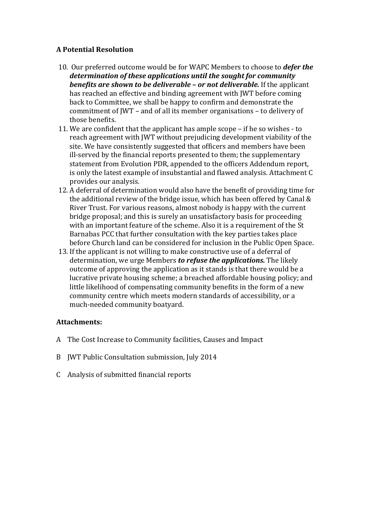# **A Potential Resolution**

- 10. Our preferred outcome would be for WAPC Members to choose to *defer the* determination of these applications until the sought for community *benefits are shown to be deliverable – or not deliverable.* If the applicant has reached an effective and binding agreement with JWT before coming back to Committee, we shall be happy to confirm and demonstrate the commitment of JWT – and of all its member organisations – to delivery of those benefits.
- 11. We are confident that the applicant has ample scope  $-$  if he so wishes  $-$  to reach agreement with JWT without prejudicing development viability of the site. We have consistently suggested that officers and members have been ill-served by the financial reports presented to them; the supplementary statement from Evolution PDR, appended to the officers Addendum report, is only the latest example of insubstantial and flawed analysis. Attachment C provides our analysis.
- 12. A deferral of determination would also have the benefit of providing time for the additional review of the bridge issue, which has been offered by Canal  $\&$ River Trust. For various reasons, almost nobody is happy with the current bridge proposal; and this is surely an unsatisfactory basis for proceeding with an important feature of the scheme. Also it is a requirement of the St Barnabas PCC that further consultation with the key parties takes place before Church land can be considered for inclusion in the Public Open Space.
- 13. If the applicant is not willing to make constructive use of a deferral of determination, we urge Members *to refuse the applications*. The likely outcome of approving the application as it stands is that there would be a lucrative private housing scheme; a breached affordable housing policy; and little likelihood of compensating community benefits in the form of a new community centre which meets modern standards of accessibility, or a much-needed community boatyard.

# **Attachments:**

- A The Cost Increase to Community facilities, Causes and Impact
- B JWT Public Consultation submission, July 2014
- C Analysis of submitted financial reports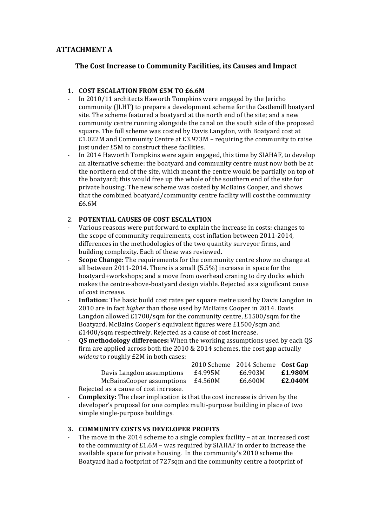# **ATTACHMENT A**

### **The Cost Increase to Community Facilities, its Causes and Impact**

#### **1. COST ESCALATION FROM £5M TO £6.6M**

- In 2010/11 architects Haworth Tompkins were engaged by the Jericho community (ILHT) to prepare a development scheme for the Castlemill boatyard site. The scheme featured a boatvard at the north end of the site: and a new community centre running alongside the canal on the south side of the proposed square. The full scheme was costed by Davis Langdon, with Boatyard cost at £1.022M and Community Centre at  $£3.973M$  – requiring the community to raise just under £5M to construct these facilities.
- In 2014 Haworth Tompkins were again engaged, this time by SIAHAF, to develop an alternative scheme: the boatvard and community centre must now both be at the northern end of the site, which meant the centre would be partially on top of the boatyard; this would free up the whole of the southern end of the site for private housing. The new scheme was costed by McBains Cooper, and shows that the combined boatyard/community centre facility will cost the community £6.6M

#### 2. **POTENTIAL CAUSES OF COST ESCALATION**

- Various reasons were put forward to explain the increase in costs: changes to the scope of community requirements, cost inflation between 2011-2014, differences in the methodologies of the two quantity surveyor firms, and building complexity. Each of these was reviewed.
- **Scope Change:** The requirements for the community centre show no change at all between  $2011-2014$ . There is a small  $(5.5%)$  increase in space for the boatyard+workshops; and a move from overhead craning to dry docks which makes the centre-above-boatyard design viable. Rejected as a significant cause of cost increase.
- **Inflation:** The basic build cost rates per square metre used by Davis Langdon in 2010 are in fact *higher* than those used by McBains Cooper in 2014. Davis Langdon allowed  $£1700/sqm$  for the community centre,  $£1500/sqm$  for the Boatyard. McBains Cooper's equivalent figures were £1500/sqm and  $£1400/s$ qm respectively. Rejected as a cause of cost increase.
- **OS** methodology differences: When the working assumptions used by each OS firm are applied across both the  $2010 \& 2014$  schemes, the cost gap actually *widens* to roughly £2M in both cases:

|                                       |         | 2010 Scheme 2014 Scheme Cost Gap |         |
|---------------------------------------|---------|----------------------------------|---------|
| Davis Langdon assumptions             | £4.995M | £6.903M                          | £1.980M |
| McBainsCooper assumptions             | £4.560M | £6.600M                          | £2.040M |
| Rejected as a cause of cost increase. |         |                                  |         |

**Complexity:** The clear implication is that the cost increase is driven by the developer's proposal for one complex multi-purpose building in place of two simple single-purpose buildings.

#### **3. COMMUNITY COSTS VS DEVELOPER PROFITS**

The move in the  $2014$  scheme to a single complex facility  $-$  at an increased cost to the community of  $£1.6M$  – was required by SIAHAF in order to increase the available space for private housing. In the community's 2010 scheme the Boatyard had a footprint of 727sqm and the community centre a footprint of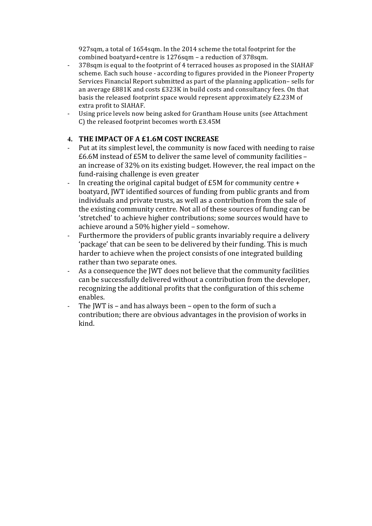927sqm, a total of 1654sqm. In the 2014 scheme the total footprint for the combined boatyard+centre is 1276sqm - a reduction of 378sqm.

- 378sqm is equal to the footprint of 4 terraced houses as proposed in the SIAHAF scheme. Each such house - according to figures provided in the Pioneer Property Services Financial Report submitted as part of the planning application– sells for an average  $£881K$  and costs  $£323K$  in build costs and consultancy fees. On that basis the released footprint space would represent approximately £2.23M of extra profit to SIAHAF.
- Using price levels now being asked for Grantham House units (see Attachment C) the released footprint becomes worth £3.45M

# **4. THE IMPACT OF A £1.6M COST INCREASE**

- Put at its simplest level, the community is now faced with needing to raise  $£6.6M$  instead of  $£5M$  to deliver the same level of community facilities an increase of 32% on its existing budget. However, the real impact on the fund-raising challenge is even greater
- In creating the original capital budget of  $£5M$  for community centre  $+$ boatyard, JWT identified sources of funding from public grants and from individuals and private trusts, as well as a contribution from the sale of the existing community centre. Not all of these sources of funding can be 'stretched' to achieve higher contributions; some sources would have to achieve around a 50% higher yield - somehow.
- Furthermore the providers of public grants invariably require a delivery 'package' that can be seen to be delivered by their funding. This is much harder to achieve when the project consists of one integrated building rather than two separate ones.
- As a consequence the IWT does not believe that the community facilities can be successfully delivered without a contribution from the developer, recognizing the additional profits that the configuration of this scheme enables.
- The IWT is and has always been open to the form of such a contribution; there are obvious advantages in the provision of works in kind.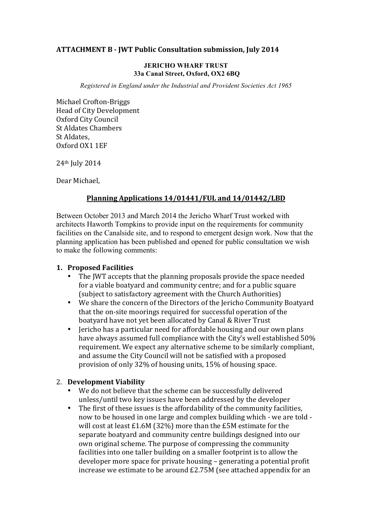# **ATTACHMENT B - JWT Public Consultation submission, July 2014**

#### **JERICHO WHARF TRUST 33a Canal Street, Oxford, OX2 6BQ**

*Registered in England under the Industrial and Provident Societies Act 1965*

Michael Crofton-Briggs Head of City Development Oxford City Council St Aldates Chambers St Aldates. Oxford OX1 1EF

 $24$ <sup>th</sup> July  $2014$ 

Dear Michael,

# Planning Applications 14/01441/FUL and 14/01442/LBD

Between October 2013 and March 2014 the Jericho Wharf Trust worked with architects Haworth Tompkins to provide input on the requirements for community facilities on the Canalside site, and to respond to emergent design work. Now that the planning application has been published and opened for public consultation we wish to make the following comments:

# **1. Proposed Facilities**

- The JWT accepts that the planning proposals provide the space needed for a viable boatyard and community centre; and for a public square (subject to satisfactory agreement with the Church Authorities)
- We share the concern of the Directors of the Jericho Community Boatyard that the on-site moorings required for successful operation of the boatyard have not yet been allocated by Canal & River Trust
- Jericho has a particular need for affordable housing and our own plans have always assumed full compliance with the City's well established 50% requirement. We expect any alternative scheme to be similarly compliant, and assume the City Council will not be satisfied with a proposed provision of only 32% of housing units, 15% of housing space.

# 2. **Development Viability**

- We do not believe that the scheme can be successfully delivered unless/until two key issues have been addressed by the developer
- The first of these issues is the affordability of the community facilities, now to be housed in one large and complex building which - we are told will cost at least  $£1.6M$  (32%) more than the  $£5M$  estimate for the separate boatyard and community centre buildings designed into our own original scheme. The purpose of compressing the community facilities into one taller building on a smaller footprint is to allow the developer more space for private housing – generating a potential profit increase we estimate to be around  $E2.75M$  (see attached appendix for an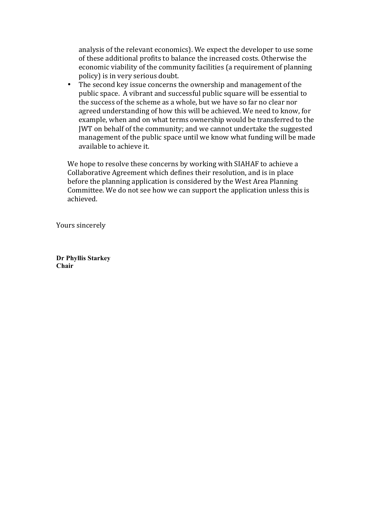analysis of the relevant economics). We expect the developer to use some of these additional profits to balance the increased costs. Otherwise the economic viability of the community facilities (a requirement of planning policy) is in very serious doubt.

• The second key issue concerns the ownership and management of the public space. A vibrant and successful public square will be essential to the success of the scheme as a whole, but we have so far no clear nor agreed understanding of how this will be achieved. We need to know, for example, when and on what terms ownership would be transferred to the JWT on behalf of the community; and we cannot undertake the suggested management of the public space until we know what funding will be made available to achieve it.

We hope to resolve these concerns by working with SIAHAF to achieve a Collaborative Agreement which defines their resolution, and is in place before the planning application is considered by the West Area Planning Committee. We do not see how we can support the application unless this is achieved. 

Yours sincerely

**Dr Phyllis Starkey Chair**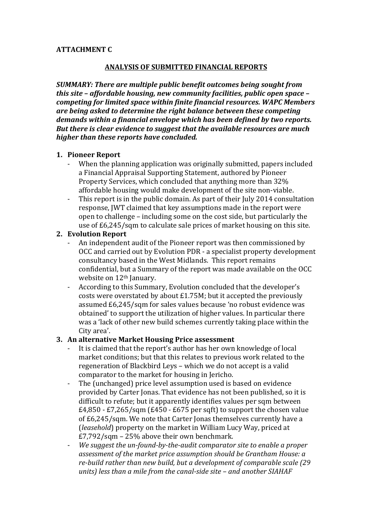# **ATTACHMENT C**

# **ANALYSIS OF SUBMITTED FINANCIAL REPORTS**

*SUMMARY: There are multiple public benefit outcomes being sought from this site – affordable housing, new community facilities, public open space – competing for limited space within finite financial resources. WAPC Members* are being asked to determine the right balance between these competing *demands within a financial envelope which has been defined by two reports. But there is clear evidence to suggest that the available resources are much higher than these reports have concluded.* 

# **1. Pioneer Report**

- When the planning application was originally submitted, papers included a Financial Appraisal Supporting Statement, authored by Pioneer Property Services, which concluded that anything more than 32% affordable housing would make development of the site non-viable.
- This report is in the public domain. As part of their July 2014 consultation response, JWT claimed that key assumptions made in the report were open to challenge – including some on the cost side, but particularly the use of  $E6,245$ /sqm to calculate sale prices of market housing on this site.

# **2. Evolution Report**

- An independent audit of the Pioneer report was then commissioned by OCC and carried out by Evolution PDR - a specialist property development consultancy based in the West Midlands. This report remains confidential, but a Summary of the report was made available on the OCC website on 12<sup>th</sup> January.
- According to this Summary, Evolution concluded that the developer's costs were overstated by about  $£1.75M$ ; but it accepted the previously assumed £6.245/sqm for sales values because 'no robust evidence was obtained' to support the utilization of higher values. In particular there was a 'lack of other new build schemes currently taking place within the City area'.

# **3. An alternative Market Housing Price assessment**

- It is claimed that the report's author has her own knowledge of local market conditions; but that this relates to previous work related to the regeneration of Blackbird Leys – which we do not accept is a valid comparator to the market for housing in Jericho.
- The (unchanged) price level assumption used is based on evidence provided by Carter Jonas. That evidence has not been published, so it is difficult to refute; but it apparently identifies values per sqm between  $£4,850 - £7,265/sgm$  (£450 - £675 per sqft) to support the chosen value of £6,245/sqm. We note that Carter Jonas themselves currently have a (*leasehold*) property on the market in William Lucy Way, priced at  $E7,792/\text{sgm}$  – 25% above their own benchmark.
- *We suggest the un-found-by-the-audit comparator site to enable a proper* assessment of the market price assumption should be Grantham House: a re-build rather than new build, but a development of comparable scale (29) units) less than a mile from the canal-side site – and another SIAHAF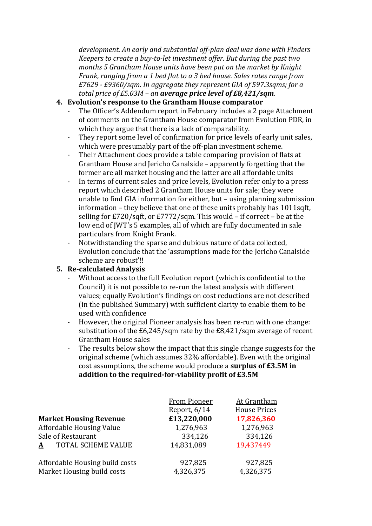development. An early and substantial off-plan deal was done with Finders *Keepers to create a buy-to-let investment offer. But during the past two months* 5 Grantham House units have been put on the market by Knight *Frank, ranging from a 1 bed flat to a 3 bed house. Sales rates range from £7629 - £9360/sqm. In aggregate they represent GIA of 597.3sqms; for a total price of £5.03M – an average price level of £8,421/sqm.* 

# **4. Evolution's response to the Grantham House comparator**

- The Officer's Addendum report in February includes a 2 page Attachment of comments on the Grantham House comparator from Evolution PDR, in which they argue that there is a lack of comparability.
- They report some level of confirmation for price levels of early unit sales, which were presumably part of the off-plan investment scheme.
- Their Attachment does provide a table comparing provision of flats at Grantham House and Jericho Canalside – apparently forgetting that the former are all market housing and the latter are all affordable units
- In terms of current sales and price levels, Evolution refer only to a press report which described 2 Grantham House units for sale; they were unable to find  $GIA$  information for either, but  $-$  using planning submission information  $-$  they believe that one of these units probably has  $1011$ sqft, selling for  $E720/\text{sqrt}$ , or  $E7772/\text{sqrt}$ . This would – if correct – be at the low end of JWT's 5 examples, all of which are fully documented in sale particulars from Knight Frank.
- Notwithstanding the sparse and dubious nature of data collected, Evolution conclude that the 'assumptions made for the Jericho Canalside scheme are robust'!!

# **5. Re-calculated Analysis**

- Without access to the full Evolution report (which is confidential to the Council) it is not possible to re-run the latest analysis with different values; equally Evolution's findings on cost reductions are not described (in the published Summary) with sufficient clarity to enable them to be used with confidence
- However, the original Pioneer analysis has been re-run with one change: substitution of the  $E6,245/\text{sgm}$  rate by the  $E8,421/\text{sgm}$  average of recent Grantham House sales
- The results below show the impact that this single change suggests for the original scheme (which assumes 32% affordable). Even with the original cost assumptions, the scheme would produce a **surplus of £3.5M** in addition to the required-for-viability profit of £3.5M

|                                | <b>From Pioneer</b> | At Grantham         |
|--------------------------------|---------------------|---------------------|
|                                | Report, 6/14        | <b>House Prices</b> |
| <b>Market Housing Revenue</b>  | £13,220,000         | 17,826,360          |
| Affordable Housing Value       | 1,276,963           | 1,276,963           |
| Sale of Restaurant             | 334,126             | 334,126             |
| TOTAL SCHEME VALUE<br>A        | 14,831,089          | 19,437449           |
| Affordable Housing build costs | 927,825             | 927,825             |
| Market Housing build costs     | 4,326,375           | 4,326,375           |